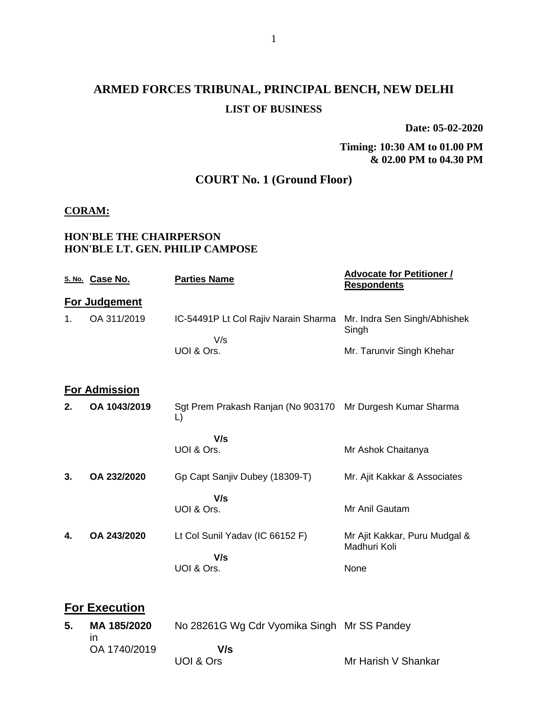# **ARMED FORCES TRIBUNAL, PRINCIPAL BENCH, NEW DELHI LIST OF BUSINESS**

**Date: 05-02-2020**

## **Timing: 10:30 AM to 01.00 PM & 02.00 PM to 04.30 PM**

## **COURT No. 1 (Ground Floor)**

## **CORAM:**

## **HON'BLE THE CHAIRPERSON HON'BLE LT. GEN. PHILIP CAMPOSE**

|    | S. No. Case No.              | <b>Parties Name</b>                                                        | <b>Advocate for Petitioner /</b><br><b>Respondents</b> |
|----|------------------------------|----------------------------------------------------------------------------|--------------------------------------------------------|
|    | For Judgement                |                                                                            |                                                        |
| 1. | OA 311/2019                  | IC-54491P Lt Col Rajiv Narain Sharma                                       | Mr. Indra Sen Singh/Abhishek<br>Singh                  |
|    |                              | V/s<br>UOI & Ors.                                                          | Mr. Tarunvir Singh Khehar                              |
|    | <b>For Admission</b>         |                                                                            |                                                        |
| 2. | OA 1043/2019                 | Sgt Prem Prakash Ranjan (No 903170 Mr Durgesh Kumar Sharma<br>$\mathsf{L}$ |                                                        |
|    |                              | V/s                                                                        |                                                        |
|    |                              | UOI & Ors.                                                                 | Mr Ashok Chaitanya                                     |
| 3. | OA 232/2020                  | Gp Capt Sanjiv Dubey (18309-T)                                             | Mr. Ajit Kakkar & Associates                           |
|    |                              | V/s                                                                        |                                                        |
|    |                              | UOI & Ors.                                                                 | Mr Anil Gautam                                         |
| 4. | OA 243/2020                  | Lt Col Sunil Yadav (IC 66152 F)<br>V/s                                     | Mr Ajit Kakkar, Puru Mudgal &<br>Madhuri Koli          |
|    |                              | UOI & Ors.                                                                 | None                                                   |
|    | <b>For Execution</b>         |                                                                            |                                                        |
| 5. | MA 185/2020                  | No 28261G Wg Cdr Vyomika Singh Mr SS Pandey                                |                                                        |
|    | $\mathsf{I}$<br>OA 1740/2019 | V/s                                                                        |                                                        |
|    |                              | UOI & Ors                                                                  | Mr Harish V Shankar                                    |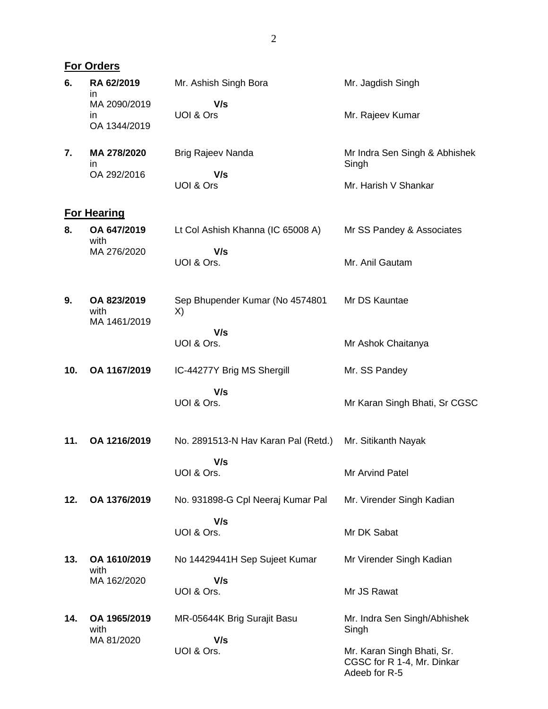|     | <b>For Orders</b>                   |                                       |                                                                           |  |  |  |
|-----|-------------------------------------|---------------------------------------|---------------------------------------------------------------------------|--|--|--|
| 6.  | RA 62/2019<br>ın                    | Mr. Ashish Singh Bora                 | Mr. Jagdish Singh                                                         |  |  |  |
|     | MA 2090/2019<br>ın                  | V/s<br>UOI & Ors                      | Mr. Rajeev Kumar                                                          |  |  |  |
|     | OA 1344/2019                        |                                       |                                                                           |  |  |  |
| 7.  | MA 278/2020<br>ın                   | Brig Rajeev Nanda                     | Mr Indra Sen Singh & Abhishek<br>Singh                                    |  |  |  |
|     | OA 292/2016                         | V/s<br>UOI & Ors                      | Mr. Harish V Shankar                                                      |  |  |  |
|     | <b>For Hearing</b>                  |                                       |                                                                           |  |  |  |
| 8.  | OA 647/2019<br>with                 | Lt Col Ashish Khanna (IC 65008 A)     | Mr SS Pandey & Associates                                                 |  |  |  |
|     | MA 276/2020                         | V/s<br>UOI & Ors.                     | Mr. Anil Gautam                                                           |  |  |  |
| 9.  | OA 823/2019<br>with<br>MA 1461/2019 | Sep Bhupender Kumar (No 4574801<br>X) | Mr DS Kauntae                                                             |  |  |  |
|     |                                     | V/s<br>UOI & Ors.                     | Mr Ashok Chaitanya                                                        |  |  |  |
| 10. | OA 1167/2019                        | IC-44277Y Brig MS Shergill            | Mr. SS Pandey                                                             |  |  |  |
|     |                                     | V/s<br>UOI & Ors.                     | Mr Karan Singh Bhati, Sr CGSC                                             |  |  |  |
| 11. | OA 1216/2019                        | No. 2891513-N Hav Karan Pal (Retd.)   | Mr. Sitikanth Nayak                                                       |  |  |  |
|     |                                     | V/s<br>UOI & Ors.                     | <b>Mr Arvind Patel</b>                                                    |  |  |  |
| 12. | OA 1376/2019                        | No. 931898-G Cpl Neeraj Kumar Pal     | Mr. Virender Singh Kadian                                                 |  |  |  |
|     |                                     | V/s<br>UOI & Ors.                     | Mr DK Sabat                                                               |  |  |  |
| 13. | OA 1610/2019<br>with                | No 14429441H Sep Sujeet Kumar         | Mr Virender Singh Kadian                                                  |  |  |  |
|     | MA 162/2020                         | V/s<br>UOI & Ors.                     | Mr JS Rawat                                                               |  |  |  |
| 14. | OA 1965/2019<br>with                | MR-05644K Brig Surajit Basu           | Mr. Indra Sen Singh/Abhishek<br>Singh                                     |  |  |  |
|     | MA 81/2020                          | V/s<br>UOI & Ors.                     | Mr. Karan Singh Bhati, Sr.<br>CGSC for R 1-4, Mr. Dinkar<br>Adeeb for R-5 |  |  |  |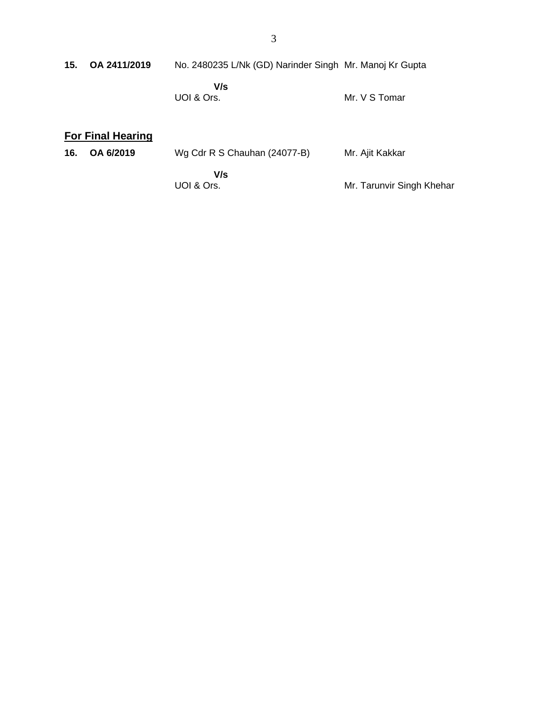| 15. OA 2411/2019 | No. 2480235 L/Nk (GD) Narinder Singh Mr. Manoj Kr Gupta |               |
|------------------|---------------------------------------------------------|---------------|
|                  | V/s<br>UOI & Ors.                                       | Mr. V S Tomar |

# **For Final Hearing**

| 16. | OA 6/2019 | Wg Cdr R S Chauhan (24077-B) | Mr. Ajit Kakkar           |
|-----|-----------|------------------------------|---------------------------|
|     |           | V/s                          |                           |
|     |           | UOI & Ors.                   | Mr. Tarunvir Singh Khehar |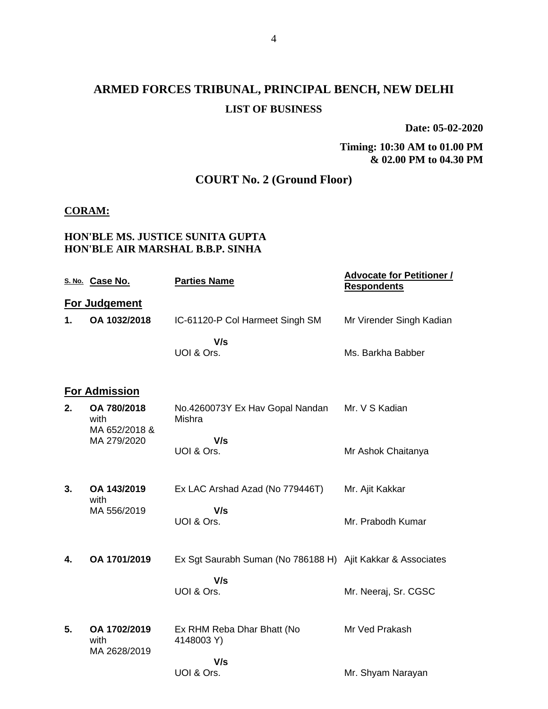# **ARMED FORCES TRIBUNAL, PRINCIPAL BENCH, NEW DELHI LIST OF BUSINESS**

**Date: 05-02-2020**

**Timing: 10:30 AM to 01.00 PM & 02.00 PM to 04.30 PM**

## **COURT No. 2 (Ground Floor)**

## **CORAM:**

## **HON'BLE MS. JUSTICE SUNITA GUPTA HON'BLE AIR MARSHAL B.B.P. SINHA**

|    | S. No. Case No.                      | <b>Parties Name</b>                                         | <b>Advocate for Petitioner /</b><br><b>Respondents</b> |
|----|--------------------------------------|-------------------------------------------------------------|--------------------------------------------------------|
|    | For Judgement                        |                                                             |                                                        |
| 1. | OA 1032/2018                         | IC-61120-P Col Harmeet Singh SM                             | Mr Virender Singh Kadian                               |
|    |                                      | V/s<br>UOI & Ors.                                           | Ms. Barkha Babber                                      |
|    | <b>For Admission</b>                 |                                                             |                                                        |
| 2. | OA 780/2018<br>with<br>MA 652/2018 & | No.4260073Y Ex Hav Gopal Nandan<br>Mishra                   | Mr. V S Kadian                                         |
|    | MA 279/2020                          | V/s<br>UOI & Ors.                                           | Mr Ashok Chaitanya                                     |
| 3. | OA 143/2019<br>with                  | Ex LAC Arshad Azad (No 779446T)                             | Mr. Ajit Kakkar                                        |
|    | MA 556/2019                          | V/s<br>UOI & Ors.                                           | Mr. Prabodh Kumar                                      |
| 4. | OA 1701/2019                         | Ex Sgt Saurabh Suman (No 786188 H) Ajit Kakkar & Associates |                                                        |
|    |                                      | V/s<br>UOI & Ors.                                           | Mr. Neeraj, Sr. CGSC                                   |
| 5. | OA 1702/2019<br>with<br>MA 2628/2019 | Ex RHM Reba Dhar Bhatt (No<br>4148003 Y)                    | Mr Ved Prakash                                         |
|    |                                      | V/s<br>UOI & Ors.                                           | Mr. Shyam Narayan                                      |
|    |                                      |                                                             |                                                        |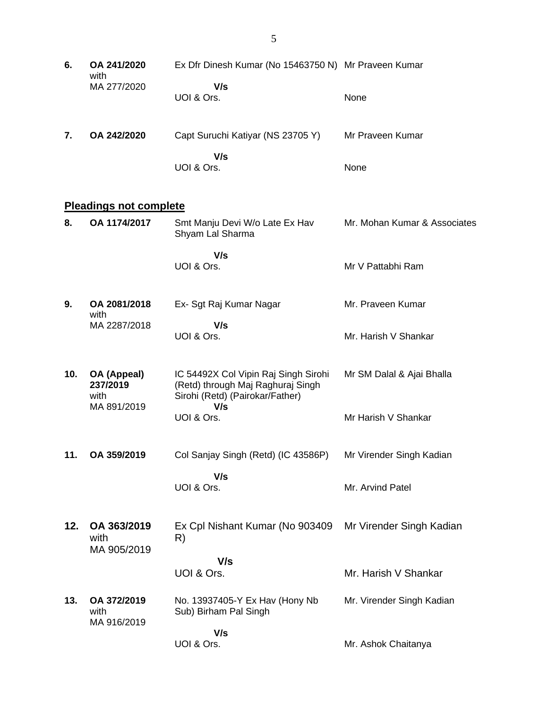**6. OA 241/2020** with MA 277/2020 Ex Dfr Dinesh Kumar (No 15463750 N) Mr Praveen Kumar  **V/s** UOI & Ors. None **7. OA 242/2020** Capt Suruchi Katiyar (NS 23705 Y)  **V/s** UOI & Ors. Mr Praveen Kumar None **Pleadings not complete 8. OA 1174/2017** Smt Manju Devi W/o Late Ex Hav Shyam Lal Sharma  **V/s** UOI & Ors. Mr. Mohan Kumar & Associates Mr V Pattabhi Ram **9. OA 2081/2018** with MA 2287/2018 Ex- Sgt Raj Kumar Nagar  **V/s** UOI & Ors. Mr. Praveen Kumar Mr. Harish V Shankar **10. OA (Appeal) 237/2019** with MA 891/2019 IC 54492X Col Vipin Raj Singh Sirohi (Retd) through Maj Raghuraj Singh Sirohi (Retd) (Pairokar/Father)  **V/s** UOI & Ors. Mr SM Dalal & Ajai Bhalla Mr Harish V Shankar **11. OA 359/2019** Col Sanjay Singh (Retd) (IC 43586P)  **V/s** UOI & Ors. Mr Virender Singh Kadian Mr. Arvind Patel **12. OA 363/2019** with MA 905/2019 Ex Cpl Nishant Kumar (No 903409 R)  **V/s** UOI & Ors. Mr Virender Singh Kadian Mr. Harish V Shankar **13. OA 372/2019** with MA 916/2019 No. 13937405-Y Ex Hav (Hony Nb Sub) Birham Pal Singh  **V/s** UOI & Ors. Mr. Virender Singh Kadian Mr. Ashok Chaitanya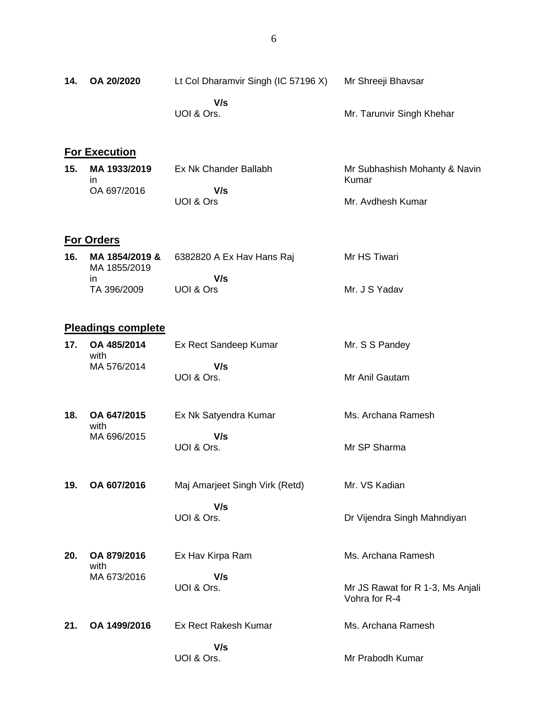| 14. | OA 20/2020                               | Lt Col Dharamvir Singh (IC 57196 X) | Mr Shreeji Bhavsar                                |
|-----|------------------------------------------|-------------------------------------|---------------------------------------------------|
|     |                                          | V/s<br>UOI & Ors.                   | Mr. Tarunvir Singh Khehar                         |
|     | <b>For Execution</b>                     |                                     |                                                   |
| 15. | MA 1933/2019<br>in.                      | Ex Nk Chander Ballabh               | Mr Subhashish Mohanty & Navin<br>Kumar            |
|     | OA 697/2016                              | V/s<br>UOI & Ors                    | Mr. Avdhesh Kumar                                 |
|     | <b>For Orders</b>                        |                                     |                                                   |
| 16. | MA 1854/2019 &<br>MA 1855/2019           | 6382820 A Ex Hav Hans Raj           | Mr HS Tiwari                                      |
|     | in.<br>TA 396/2009                       | V/s<br>UOI & Ors                    | Mr. J S Yadav                                     |
|     |                                          |                                     |                                                   |
| 17. | <b>Pleadings complete</b><br>OA 485/2014 | Ex Rect Sandeep Kumar               | Mr. S S Pandey                                    |
|     | with<br>MA 576/2014                      | V/s<br>UOI & Ors.                   | Mr Anil Gautam                                    |
| 18. | OA 647/2015<br>with                      | Ex Nk Satyendra Kumar               | Ms. Archana Ramesh                                |
|     | MA 696/2015                              | V/s<br>UOI & Ors.                   | Mr SP Sharma                                      |
| 19. | OA 607/2016                              | Maj Amarjeet Singh Virk (Retd)      | Mr. VS Kadian                                     |
|     |                                          | V/s<br>UOI & Ors.                   | Dr Vijendra Singh Mahndiyan                       |
| 20. | OA 879/2016<br>with                      | Ex Hav Kirpa Ram                    | Ms. Archana Ramesh                                |
|     | MA 673/2016                              | V/s<br>UOI & Ors.                   | Mr JS Rawat for R 1-3, Ms Anjali<br>Vohra for R-4 |
| 21. | OA 1499/2016                             | Ex Rect Rakesh Kumar                | Ms. Archana Ramesh                                |
|     |                                          | V/s<br>UOI & Ors.                   | Mr Prabodh Kumar                                  |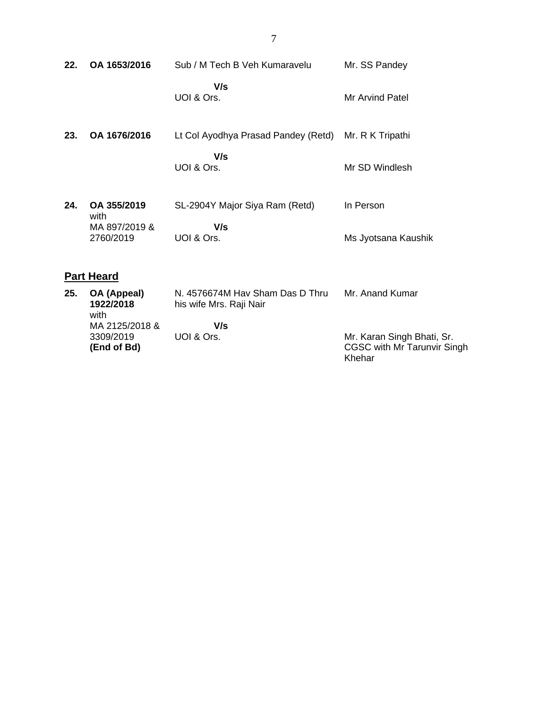| 22. | OA 1653/2016                                      | Sub / M Tech B Veh Kumaravelu                              | Mr. SS Pandey                    |
|-----|---------------------------------------------------|------------------------------------------------------------|----------------------------------|
|     |                                                   | V/s<br>UOI & Ors.                                          | Mr Arvind Patel                  |
| 23. | OA 1676/2016                                      | Lt Col Ayodhya Prasad Pandey (Retd)                        | Mr. R K Tripathi                 |
|     |                                                   | V/s<br>UOI & Ors.                                          | Mr SD Windlesh                   |
| 24. | OA 355/2019<br>with<br>MA 897/2019 &<br>2760/2019 | SL-2904Y Major Siya Ram (Retd)<br>V/s<br>UOI & Ors.        | In Person<br>Ms Jyotsana Kaushik |
|     | <b>Part Heard</b>                                 |                                                            |                                  |
| 25. | OA (Appeal)<br>1922/2018<br>with                  | N. 4576674M Hav Sham Das D Thru<br>his wife Mrs. Raji Nair | Mr. Anand Kumar                  |
|     | MA 2125/2018 &                                    | V/s                                                        |                                  |

UOI & Ors.

3309/2019 **(End of Bd)**  Mr. Karan Singh Bhati, Sr. CGSC with Mr Tarunvir Singh Khehar